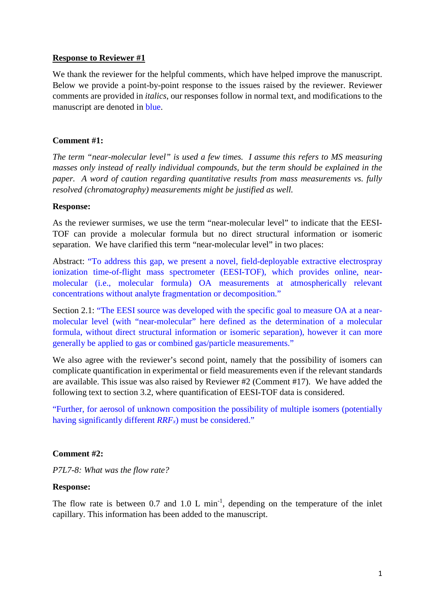### **Response to Reviewer #1**

We thank the reviewer for the helpful comments, which have helped improve the manuscript. Below we provide a point-by-point response to the issues raised by the reviewer. Reviewer comments are provided in *italics*, our responses follow in normal text, and modifications to the manuscript are denoted in blue.

### **Comment #1:**

*The term "near-molecular level" is used a few times. I assume this refers to MS measuring masses only instead of really individual compounds, but the term should be explained in the paper. A word of caution regarding quantitative results from mass measurements vs. fully resolved (chromatography) measurements might be justified as well.*

### **Response:**

As the reviewer surmises, we use the term "near-molecular level" to indicate that the EESI-TOF can provide a molecular formula but no direct structural information or isomeric separation. We have clarified this term "near-molecular level" in two places:

Abstract: "To address this gap, we present a novel, field-deployable extractive electrospray ionization time-of-flight mass spectrometer (EESI-TOF), which provides online, nearmolecular (i.e., molecular formula) OA measurements at atmospherically relevant concentrations without analyte fragmentation or decomposition."

Section 2.1: "The EESI source was developed with the specific goal to measure OA at a nearmolecular level (with "near-molecular" here defined as the determination of a molecular formula, without direct structural information or isomeric separation), however it can more generally be applied to gas or combined gas/particle measurements."

We also agree with the reviewer's second point, namely that the possibility of isomers can complicate quantification in experimental or field measurements even if the relevant standards are available. This issue was also raised by Reviewer #2 (Comment #17). We have added the following text to section 3.2, where quantification of EESI-TOF data is considered.

"Further, for aerosol of unknown composition the possibility of multiple isomers (potentially having significantly different *RRF<sub>x</sub>*) must be considered."

### **Comment #2:**

*P7L7-8: What was the flow rate?*

### **Response:**

The flow rate is between  $0.7$  and  $1.0 \,$ L min<sup>-1</sup>, depending on the temperature of the inlet capillary. This information has been added to the manuscript.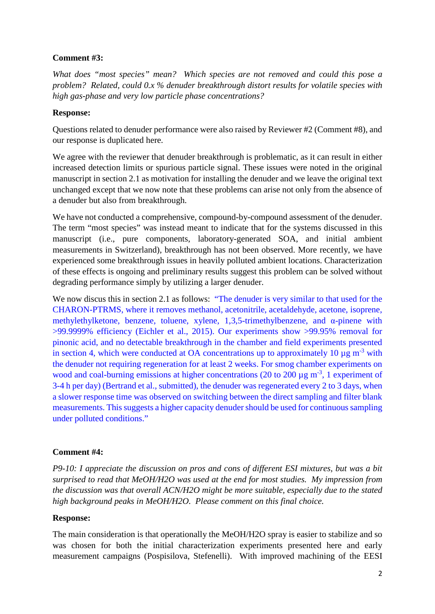# **Comment #3:**

*What does "most species" mean? Which species are not removed and could this pose a problem? Related, could 0.x % denuder breakthrough distort results for volatile species with high gas-phase and very low particle phase concentrations?*

# **Response:**

Questions related to denuder performance were also raised by Reviewer #2 (Comment #8), and our response is duplicated here.

We agree with the reviewer that denuder breakthrough is problematic, as it can result in either increased detection limits or spurious particle signal. These issues were noted in the original manuscript in section 2.1 as motivation for installing the denuder and we leave the original text unchanged except that we now note that these problems can arise not only from the absence of a denuder but also from breakthrough.

We have not conducted a comprehensive, compound-by-compound assessment of the denuder. The term "most species" was instead meant to indicate that for the systems discussed in this manuscript (i.e., pure components, laboratory-generated SOA, and initial ambient measurements in Switzerland), breakthrough has not been observed. More recently, we have experienced some breakthrough issues in heavily polluted ambient locations. Characterization of these effects is ongoing and preliminary results suggest this problem can be solved without degrading performance simply by utilizing a larger denuder.

We now discus this in section 2.1 as follows: "The denuder is very similar to that used for the CHARON-PTRMS, where it removes methanol, acetonitrile, acetaldehyde, acetone, isoprene, methylethylketone, benzene, toluene, xylene, 1,3,5-trimethylbenzene, and α-pinene with >99.9999% efficiency (Eichler et al., 2015). Our experiments show >99.95% removal for pinonic acid, and no detectable breakthrough in the chamber and field experiments presented in section 4, which were conducted at OA concentrations up to approximately 10  $\mu$ g m<sup>-3</sup> with the denuder not requiring regeneration for at least 2 weeks. For smog chamber experiments on wood and coal-burning emissions at higher concentrations (20 to 200  $\mu$ g m<sup>-3</sup>, 1 experiment of 3-4 h per day) (Bertrand et al., submitted), the denuder was regenerated every 2 to 3 days, when a slower response time was observed on switching between the direct sampling and filter blank measurements. This suggests a higher capacity denuder should be used for continuous sampling under polluted conditions."

# **Comment #4:**

*P9-10: I appreciate the discussion on pros and cons of different ESI mixtures, but was a bit surprised to read that MeOH/H2O was used at the end for most studies. My impression from the discussion was that overall ACN/H2O might be more suitable, especially due to the stated high background peaks in MeOH/H2O. Please comment on this final choice.*

# **Response:**

The main consideration is that operationally the MeOH/H2O spray is easier to stabilize and so was chosen for both the initial characterization experiments presented here and early measurement campaigns (Pospisilova, Stefenelli). With improved machining of the EESI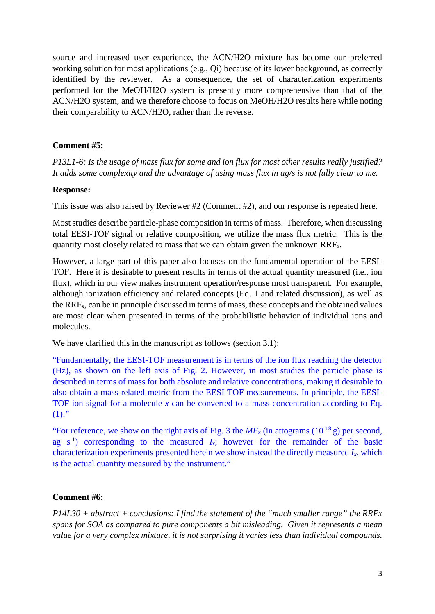source and increased user experience, the ACN/H2O mixture has become our preferred working solution for most applications (e.g., Qi) because of its lower background, as correctly identified by the reviewer. As a consequence, the set of characterization experiments performed for the MeOH/H2O system is presently more comprehensive than that of the ACN/H2O system, and we therefore choose to focus on MeOH/H2O results here while noting their comparability to ACN/H2O, rather than the reverse.

#### **Comment #5:**

*P13L1-6: Is the usage of mass flux for some and ion flux for most other results really justified? It adds some complexity and the advantage of using mass flux in ag/s is not fully clear to me.*

#### **Response:**

This issue was also raised by Reviewer #2 (Comment #2), and our response is repeated here.

Most studies describe particle-phase composition in terms of mass. Therefore, when discussing total EESI-TOF signal or relative composition, we utilize the mass flux metric. This is the quantity most closely related to mass that we can obtain given the unknown RRFx.

However, a large part of this paper also focuses on the fundamental operation of the EESI-TOF. Here it is desirable to present results in terms of the actual quantity measured (i.e., ion flux), which in our view makes instrument operation/response most transparent. For example, although ionization efficiency and related concepts (Eq. 1 and related discussion), as well as the RRFx, can be in principle discussed in terms of mass, these concepts and the obtained values are most clear when presented in terms of the probabilistic behavior of individual ions and molecules.

We have clarified this in the manuscript as follows (section 3.1):

"Fundamentally, the EESI-TOF measurement is in terms of the ion flux reaching the detector (Hz), as shown on the left axis of Fig. 2. However, in most studies the particle phase is described in terms of mass for both absolute and relative concentrations, making it desirable to also obtain a mass-related metric from the EESI-TOF measurements. In principle, the EESI-TOF ion signal for a molecule *x* can be converted to a mass concentration according to Eq.  $(1)$ :"

"For reference, we show on the right axis of Fig. 3 the  $MF<sub>x</sub>$  (in attograms  $(10^{-18} \text{ g})$  per second, ag  $s^{-1}$ ) corresponding to the measured  $I_x$ ; however for the remainder of the basic characterization experiments presented herein we show instead the directly measured *Ix*, which is the actual quantity measured by the instrument."

#### **Comment #6:**

*P14L30 + abstract + conclusions: I find the statement of the "much smaller range" the RRFx spans for SOA as compared to pure components a bit misleading. Given it represents a mean value for a very complex mixture, it is not surprising it varies less than individual compounds.*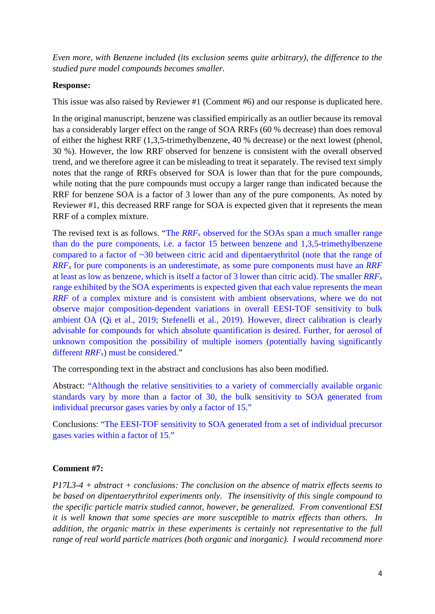*Even more, with Benzene included (its exclusion seems quite arbitrary), the difference to the studied pure model compounds becomes smaller.*

### **Response:**

This issue was also raised by Reviewer #1 (Comment #6) and our response is duplicated here.

In the original manuscript, benzene was classified empirically as an outlier because its removal has a considerably larger effect on the range of SOA RRFs (60 % decrease) than does removal of either the highest RRF (1,3,5-trimethylbenzene, 40 % decrease) or the next lowest (phenol, 30 %). However, the low RRF observed for benzene is consistent with the overall observed trend, and we therefore agree it can be misleading to treat it separately. The revised text simply notes that the range of RRFs observed for SOA is lower than that for the pure compounds, while noting that the pure compounds must occupy a larger range than indicated because the RRF for benzene SOA is a factor of 3 lower than any of the pure components. As noted by Reviewer #1, this decreased RRF range for SOA is expected given that it represents the mean RRF of a complex mixture.

The revised text is as follows. "The *RRF<sub>x</sub>* observed for the SOAs span a much smaller range than do the pure components, i.e. a factor 15 between benzene and 1,3,5-trimethylbenzene compared to a factor of ~30 between citric acid and dipentaerythritol (note that the range of *RRFx* for pure components is an underestimate, as some pure components must have an *RRF* at least as low as benzene, which is itself a factor of 3 lower than citric acid). The smaller *RRFx* range exhibited by the SOA experiments is expected given that each value represents the mean *RRF* of a complex mixture and is consistent with ambient observations, where we do not observe major composition-dependent variations in overall EESI-TOF sensitivity to bulk ambient OA (Qi et al., 2019; Stefenelli et al., 2019). However, direct calibration is clearly advisable for compounds for which absolute quantification is desired. Further, for aerosol of unknown composition the possibility of multiple isomers (potentially having significantly different *RRF<sub>x</sub>*) must be considered."

The corresponding text in the abstract and conclusions has also been modified.

Abstract: "Although the relative sensitivities to a variety of commercially available organic standards vary by more than a factor of 30, the bulk sensitivity to SOA generated from individual precursor gases varies by only a factor of 15."

Conclusions: "The EESI-TOF sensitivity to SOA generated from a set of individual precursor gases varies within a factor of 15."

### **Comment #7:**

*P17L3-4 + abstract + conclusions: The conclusion on the absence of matrix effects seems to be based on dipentaerythritol experiments only. The insensitivity of this single compound to the specific particle matrix studied cannot, however, be generalized. From conventional ESI it is well known that some species are more susceptible to matrix effects than others. In addition, the organic matrix in these experiments is certainly not representative to the full range of real world particle matrices (both organic and inorganic). I would recommend more*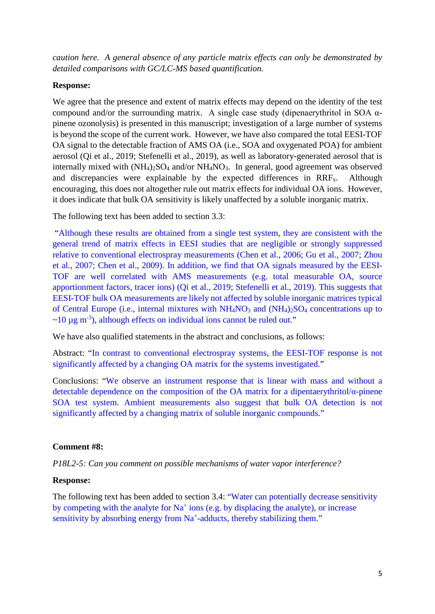*caution here. A general absence of any particle matrix effects can only be demonstrated by detailed comparisons with GC/LC-MS based quantification.*

#### **Response:**

We agree that the presence and extent of matrix effects may depend on the identity of the test compound and/or the surrounding matrix. A single case study (dipenaerythritol in SOA αpinene ozonolysis) is presented in this manuscript; investigation of a large number of systems is beyond the scope of the current work. However, we have also compared the total EESI-TOF OA signal to the detectable fraction of AMS OA (i.e., SOA and oxygenated POA) for ambient aerosol (Qi et al., 2019; Stefenelli et al., 2019), as well as laboratory-generated aerosol that is internally mixed with  $(NH_4)_2SO_4$  and/or  $NH_4NO_3$ . In general, good agreement was observed and discrepancies were explainable by the expected differences in  $\text{RRF}_x$ . Although encouraging, this does not altogether rule out matrix effects for individual OA ions. However, it does indicate that bulk OA sensitivity is likely unaffected by a soluble inorganic matrix.

The following text has been added to section 3.3:

"Although these results are obtained from a single test system, they are consistent with the general trend of matrix effects in EESI studies that are negligible or strongly suppressed relative to conventional electrospray measurements (Chen et al., 2006; Gu et al., 2007; Zhou et al., 2007; Chen et al., 2009). In addition, we find that OA signals measured by the EESI-TOF are well correlated with AMS measurements (e.g. total measurable OA, source apportionment factors, tracer ions) (Qi et al., 2019; Stefenelli et al., 2019). This suggests that EESI-TOF bulk OA measurements are likely not affected by soluble inorganic matrices typical of Central Europe (i.e., internal mixtures with NH4NO3 and (NH4)2SO4 concentrations up to  $\sim$ 10 µg m<sup>-3</sup>), although effects on individual ions cannot be ruled out."

We have also qualified statements in the abstract and conclusions, as follows:

Abstract: "In contrast to conventional electrospray systems, the EESI-TOF response is not significantly affected by a changing OA matrix for the systems investigated."

Conclusions: "We observe an instrument response that is linear with mass and without a detectable dependence on the composition of the OA matrix for a dipentaerythritol/α-pinene SOA test system. Ambient measurements also suggest that bulk OA detection is not significantly affected by a changing matrix of soluble inorganic compounds."

### **Comment #8:**

*P18L2-5: Can you comment on possible mechanisms of water vapor interference?*

### **Response:**

The following text has been added to section 3.4: "Water can potentially decrease sensitivity by competing with the analyte for  $Na<sup>+</sup>$  ions (e.g. by displacing the analyte), or increase sensitivity by absorbing energy from Na<sup>+</sup>-adducts, thereby stabilizing them."